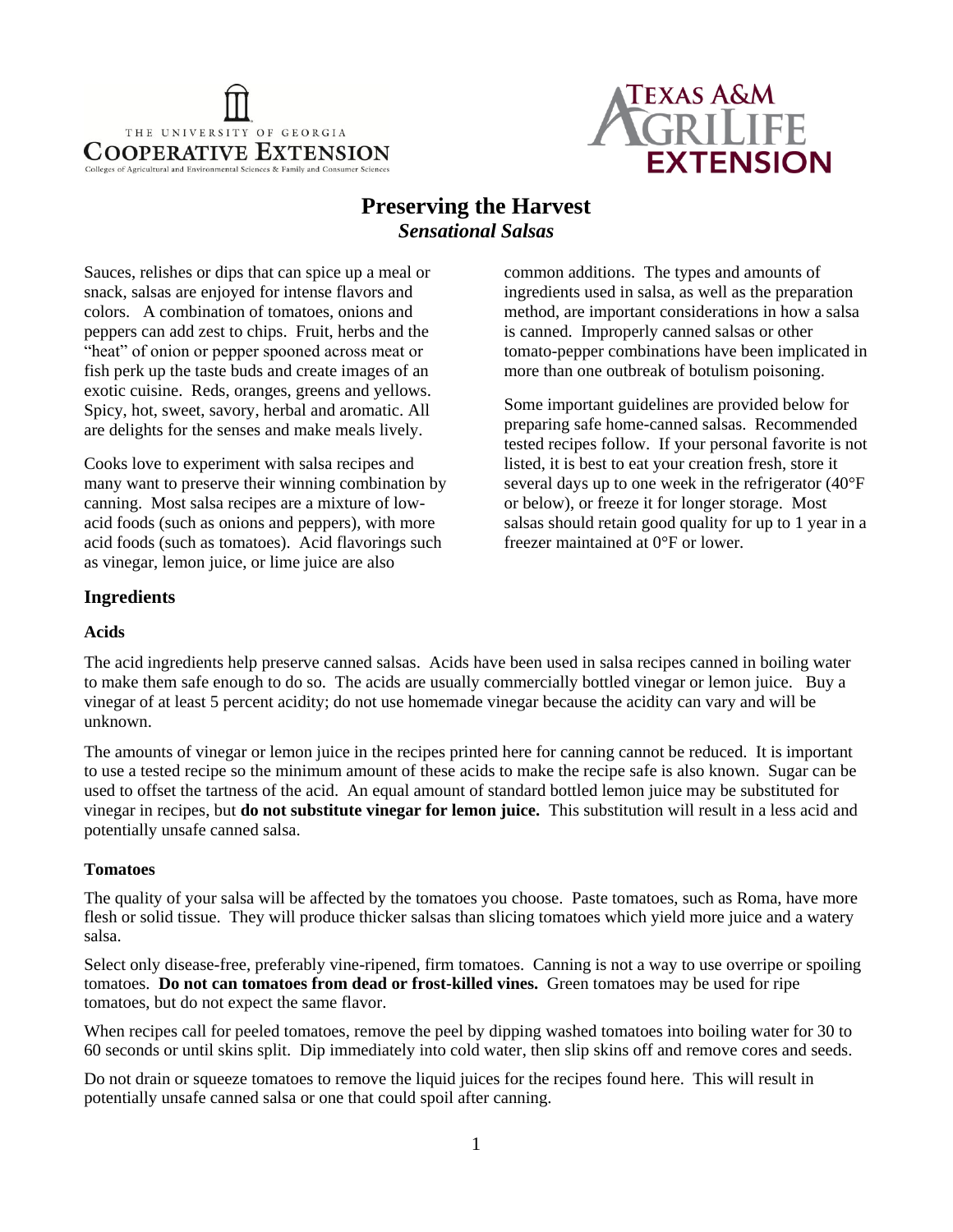



# **Preserving the Harvest** *Sensational Salsas*

Sauces, relishes or dips that can spice up a meal or snack, salsas are enjoyed for intense flavors and colors. A combination of tomatoes, onions and peppers can add zest to chips. Fruit, herbs and the "heat" of onion or pepper spooned across meat or fish perk up the taste buds and create images of an exotic cuisine. Reds, oranges, greens and yellows. Spicy, hot, sweet, savory, herbal and aromatic. All are delights for the senses and make meals lively.

Cooks love to experiment with salsa recipes and many want to preserve their winning combination by canning. Most salsa recipes are a mixture of lowacid foods (such as onions and peppers), with more acid foods (such as tomatoes). Acid flavorings such as vinegar, lemon juice, or lime juice are also

common additions. The types and amounts of ingredients used in salsa, as well as the preparation method, are important considerations in how a salsa is canned. Improperly canned salsas or other tomato-pepper combinations have been implicated in more than one outbreak of botulism poisoning.

Some important guidelines are provided below for preparing safe home-canned salsas. Recommended tested recipes follow. If your personal favorite is not listed, it is best to eat your creation fresh, store it several days up to one week in the refrigerator (40°F or below), or freeze it for longer storage. Most salsas should retain good quality for up to 1 year in a freezer maintained at 0°F or lower.

## **Ingredients**

#### **Acids**

The acid ingredients help preserve canned salsas. Acids have been used in salsa recipes canned in boiling water to make them safe enough to do so. The acids are usually commercially bottled vinegar or lemon juice. Buy a vinegar of at least 5 percent acidity; do not use homemade vinegar because the acidity can vary and will be unknown.

The amounts of vinegar or lemon juice in the recipes printed here for canning cannot be reduced. It is important to use a tested recipe so the minimum amount of these acids to make the recipe safe is also known. Sugar can be used to offset the tartness of the acid. An equal amount of standard bottled lemon juice may be substituted for vinegar in recipes, but **do not substitute vinegar for lemon juice.** This substitution will result in a less acid and potentially unsafe canned salsa.

### **Tomatoes**

The quality of your salsa will be affected by the tomatoes you choose. Paste tomatoes, such as Roma, have more flesh or solid tissue. They will produce thicker salsas than slicing tomatoes which yield more juice and a watery salsa.

Select only disease-free, preferably vine-ripened, firm tomatoes. Canning is not a way to use overripe or spoiling tomatoes. **Do not can tomatoes from dead or frost-killed vines.** Green tomatoes may be used for ripe tomatoes, but do not expect the same flavor.

When recipes call for peeled tomatoes, remove the peel by dipping washed tomatoes into boiling water for 30 to 60 seconds or until skins split. Dip immediately into cold water, then slip skins off and remove cores and seeds.

Do not drain or squeeze tomatoes to remove the liquid juices for the recipes found here. This will result in potentially unsafe canned salsa or one that could spoil after canning.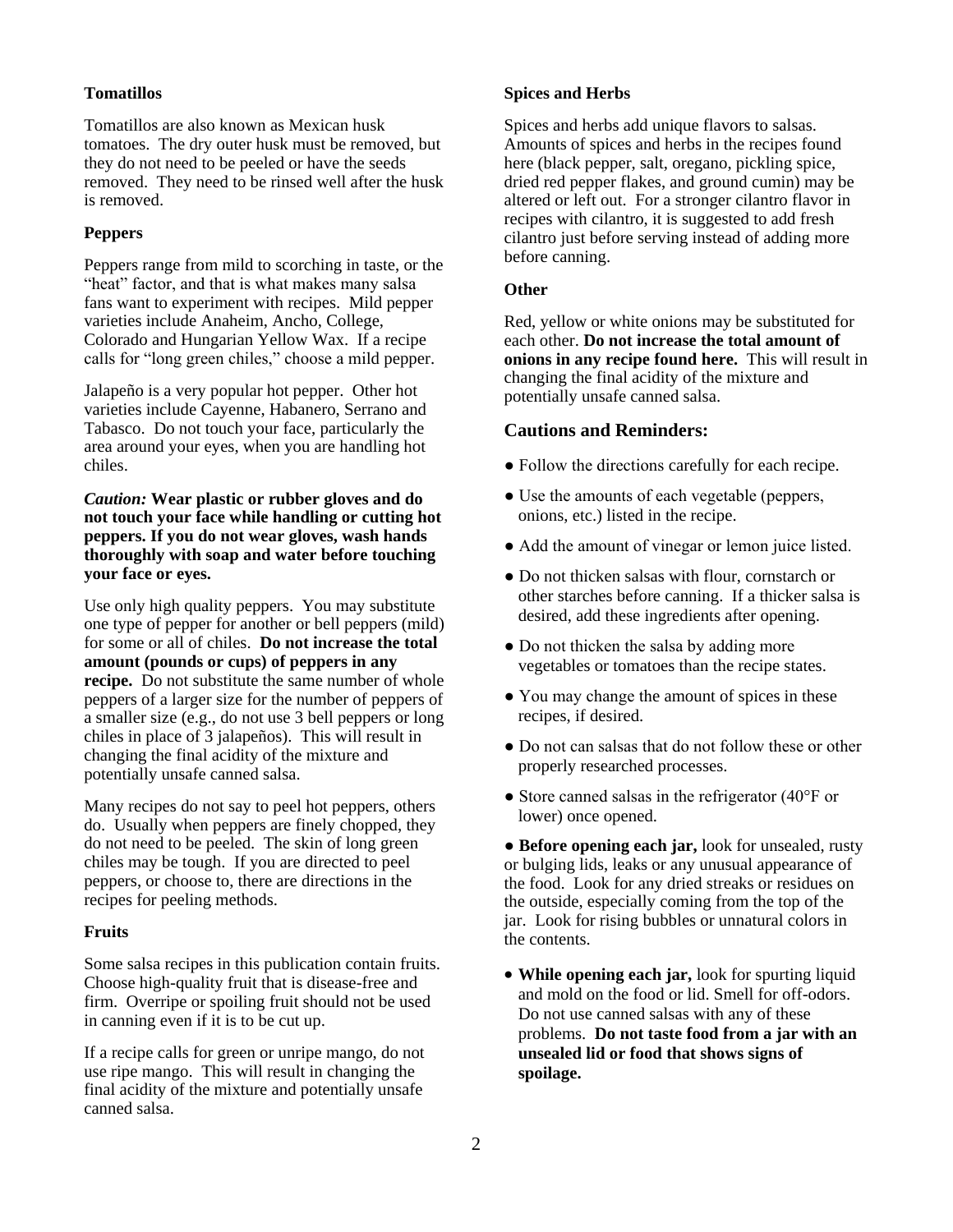### **Tomatillos**

Tomatillos are also known as Mexican husk tomatoes. The dry outer husk must be removed, but they do not need to be peeled or have the seeds removed. They need to be rinsed well after the husk is removed.

#### **Peppers**

Peppers range from mild to scorching in taste, or the "heat" factor, and that is what makes many salsa fans want to experiment with recipes. Mild pepper varieties include Anaheim, Ancho, College, Colorado and Hungarian Yellow Wax. If a recipe calls for "long green chiles," choose a mild pepper.

Jalapeño is a very popular hot pepper. Other hot varieties include Cayenne, Habanero, Serrano and Tabasco. Do not touch your face, particularly the area around your eyes, when you are handling hot chiles.

*Caution:* **Wear plastic or rubber gloves and do not touch your face while handling or cutting hot peppers. If you do not wear gloves, wash hands thoroughly with soap and water before touching your face or eyes.** 

Use only high quality peppers. You may substitute one type of pepper for another or bell peppers (mild) for some or all of chiles. **Do not increase the total amount (pounds or cups) of peppers in any recipe.** Do not substitute the same number of whole peppers of a larger size for the number of peppers of a smaller size (e.g., do not use 3 bell peppers or long chiles in place of 3 jalapeños). This will result in changing the final acidity of the mixture and potentially unsafe canned salsa.

Many recipes do not say to peel hot peppers, others do. Usually when peppers are finely chopped, they do not need to be peeled. The skin of long green chiles may be tough. If you are directed to peel peppers, or choose to, there are directions in the recipes for peeling methods.

#### **Fruits**

Some salsa recipes in this publication contain fruits. Choose high-quality fruit that is disease-free and firm. Overripe or spoiling fruit should not be used in canning even if it is to be cut up.

If a recipe calls for green or unripe mango, do not use ripe mango. This will result in changing the final acidity of the mixture and potentially unsafe canned salsa.

#### **Spices and Herbs**

Spices and herbs add unique flavors to salsas. Amounts of spices and herbs in the recipes found here (black pepper, salt, oregano, pickling spice, dried red pepper flakes, and ground cumin) may be altered or left out. For a stronger cilantro flavor in recipes with cilantro, it is suggested to add fresh cilantro just before serving instead of adding more before canning.

#### **Other**

Red, yellow or white onions may be substituted for each other. **Do not increase the total amount of onions in any recipe found here.** This will result in changing the final acidity of the mixture and potentially unsafe canned salsa.

#### **Cautions and Reminders:**

- Follow the directions carefully for each recipe.
- Use the amounts of each vegetable (peppers, onions, etc.) listed in the recipe.
- Add the amount of vinegar or lemon juice listed.
- Do not thicken salsas with flour, cornstarch or other starches before canning. If a thicker salsa is desired, add these ingredients after opening.
- Do not thicken the salsa by adding more vegetables or tomatoes than the recipe states.
- You may change the amount of spices in these recipes, if desired.
- Do not can salsas that do not follow these or other properly researched processes.
- Store canned salsas in the refrigerator (40°F or lower) once opened.

● **Before opening each jar,** look for unsealed, rusty or bulging lids, leaks or any unusual appearance of the food. Look for any dried streaks or residues on the outside, especially coming from the top of the jar. Look for rising bubbles or unnatural colors in the contents.

 **While opening each jar,** look for spurting liquid and mold on the food or lid. Smell for off-odors. Do not use canned salsas with any of these problems. **Do not taste food from a jar with an unsealed lid or food that shows signs of spoilage.**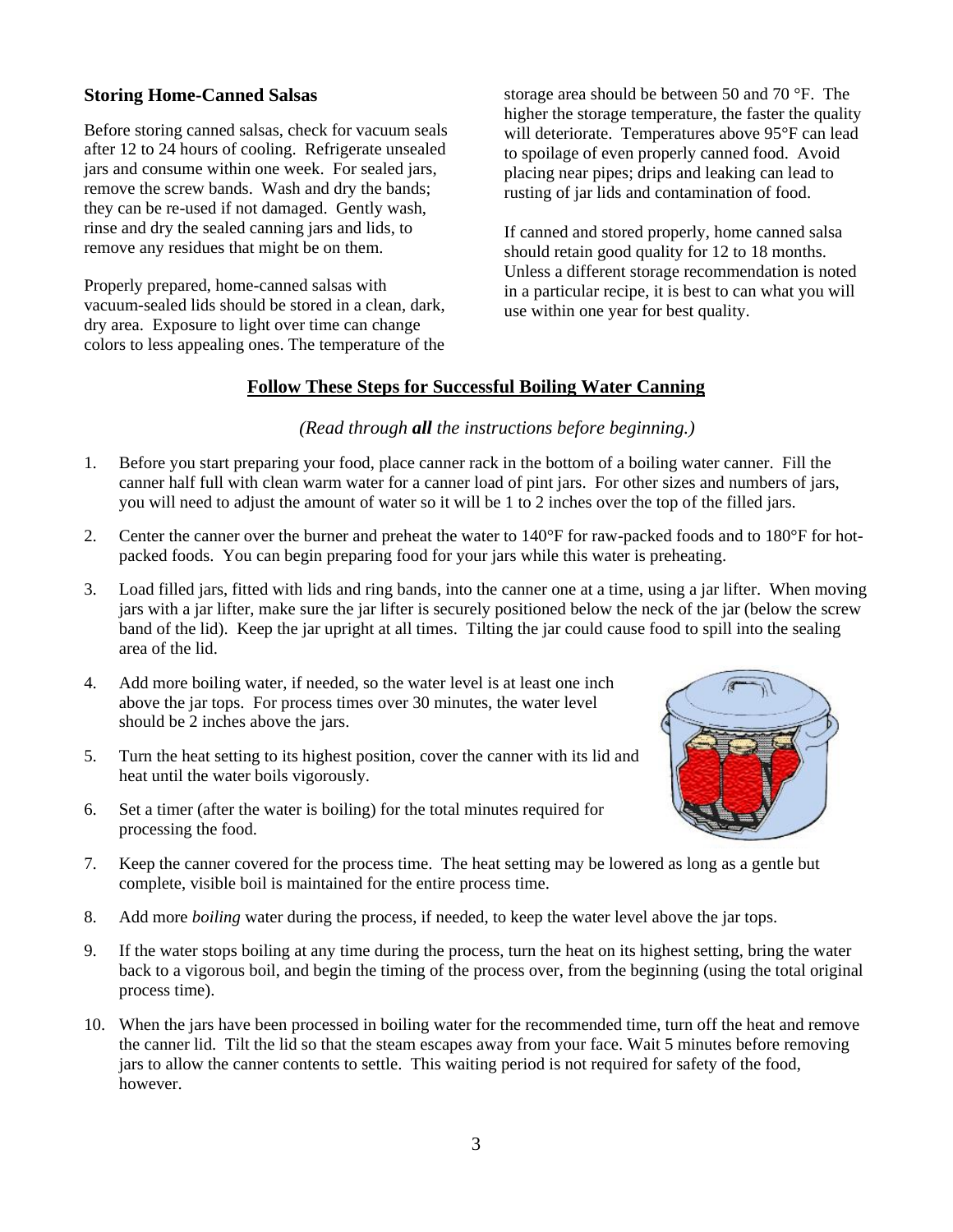## **Storing Home-Canned Salsas**

Before storing canned salsas, check for vacuum seals after 12 to 24 hours of cooling. Refrigerate unsealed jars and consume within one week. For sealed jars, remove the screw bands. Wash and dry the bands; they can be re-used if not damaged. Gently wash, rinse and dry the sealed canning jars and lids, to remove any residues that might be on them.

Properly prepared, home-canned salsas with vacuum-sealed lids should be stored in a clean, dark, dry area. Exposure to light over time can change colors to less appealing ones. The temperature of the storage area should be between 50 and 70 °F. The higher the storage temperature, the faster the quality will deteriorate. Temperatures above 95°F can lead to spoilage of even properly canned food. Avoid placing near pipes; drips and leaking can lead to rusting of jar lids and contamination of food.

If canned and stored properly, home canned salsa should retain good quality for 12 to 18 months. Unless a different storage recommendation is noted in a particular recipe, it is best to can what you will use within one year for best quality.

## **Follow These Steps for Successful Boiling Water Canning**

## *(Read through all the instructions before beginning.)*

- 1. Before you start preparing your food, place canner rack in the bottom of a boiling water canner. Fill the canner half full with clean warm water for a canner load of pint jars. For other sizes and numbers of jars, you will need to adjust the amount of water so it will be 1 to 2 inches over the top of the filled jars.
- 2. Center the canner over the burner and preheat the water to 140°F for raw-packed foods and to 180°F for hotpacked foods. You can begin preparing food for your jars while this water is preheating.
- 3. Load filled jars, fitted with lids and ring bands, into the canner one at a time, using a jar lifter. When moving jars with a jar lifter, make sure the jar lifter is securely positioned below the neck of the jar (below the screw band of the lid). Keep the jar upright at all times. Tilting the jar could cause food to spill into the sealing area of the lid.
- 4. Add more boiling water, if needed, so the water level is at least one inch above the jar tops. For process times over 30 minutes, the water level should be 2 inches above the jars.
- 5. Turn the heat setting to its highest position, cover the canner with its lid and heat until the water boils vigorously.
- 6. Set a timer (after the water is boiling) for the total minutes required for processing the food.
- 7. Keep the canner covered for the process time. The heat setting may be lowered as long as a gentle but complete, visible boil is maintained for the entire process time.
- 8. Add more *boiling* water during the process, if needed, to keep the water level above the jar tops.
- 9. If the water stops boiling at any time during the process, turn the heat on its highest setting, bring the water back to a vigorous boil, and begin the timing of the process over, from the beginning (using the total original process time).
- 10. When the jars have been processed in boiling water for the recommended time, turn off the heat and remove the canner lid. Tilt the lid so that the steam escapes away from your face. Wait 5 minutes before removing jars to allow the canner contents to settle. This waiting period is not required for safety of the food, however.

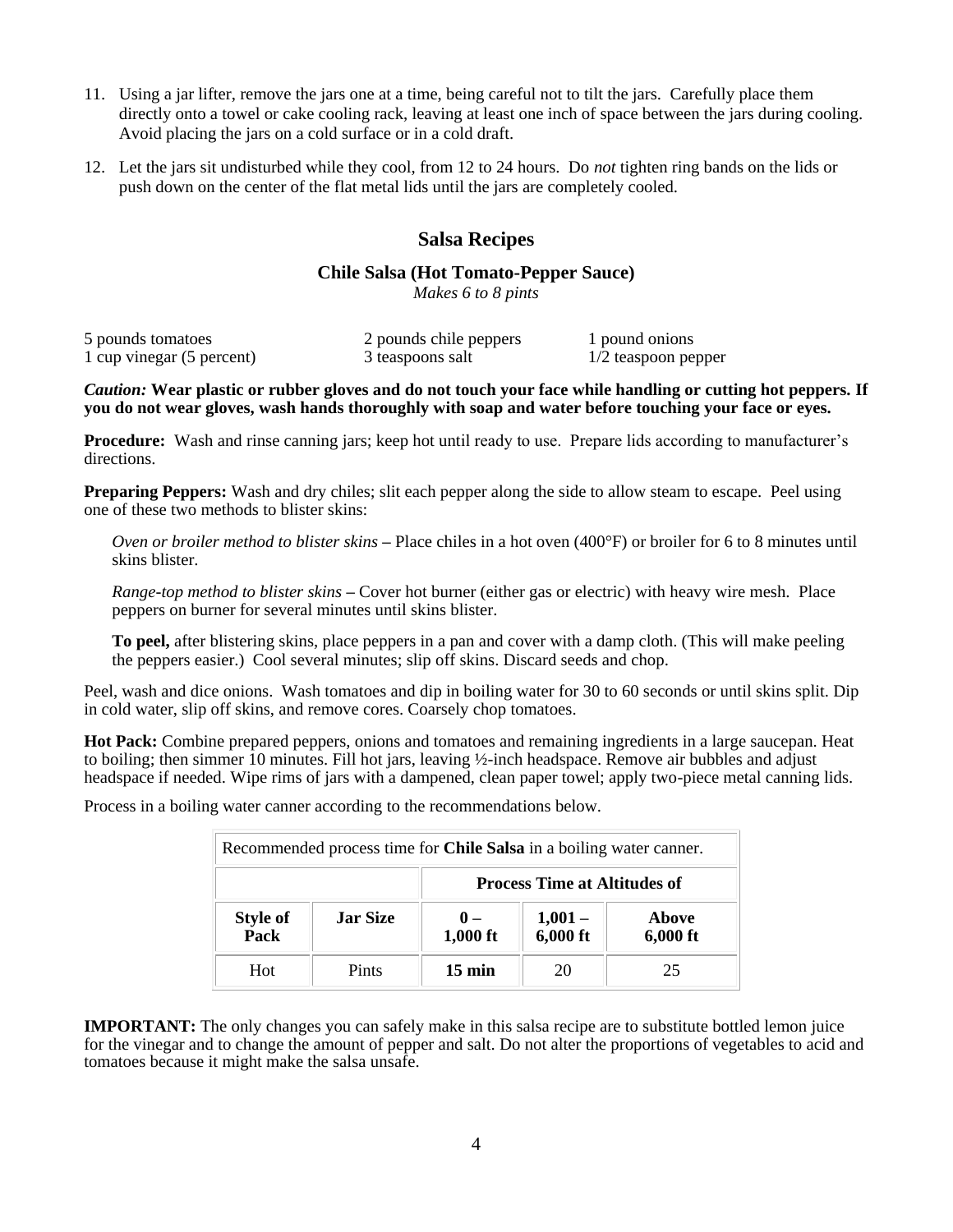- 11. Using a jar lifter, remove the jars one at a time, being careful not to tilt the jars. Carefully place them directly onto a towel or cake cooling rack, leaving at least one inch of space between the jars during cooling. Avoid placing the jars on a cold surface or in a cold draft.
- 12. Let the jars sit undisturbed while they cool, from 12 to 24 hours. Do *not* tighten ring bands on the lids or push down on the center of the flat metal lids until the jars are completely cooled.

## **Salsa Recipes**

## **Chile Salsa (Hot Tomato-Pepper Sauce)**

*Makes 6 to 8 pints*

| 5 pounds tomatoes         | 2 pounds chile peppers | 1 pound onions        |
|---------------------------|------------------------|-----------------------|
| 1 cup vinegar (5 percent) | 3 teaspoons salt       | $1/2$ teaspoon pepper |

*Caution:* **Wear plastic or rubber gloves and do not touch your face while handling or cutting hot peppers. If you do not wear gloves, wash hands thoroughly with soap and water before touching your face or eyes.** 

**Procedure:** Wash and rinse canning jars; keep hot until ready to use. Prepare lids according to manufacturer's directions.

**Preparing Peppers:** Wash and dry chiles; slit each pepper along the side to allow steam to escape. Peel using one of these two methods to blister skins:

*Oven or broiler method to blister skins* **–** Place chiles in a hot oven (400°F) or broiler for 6 to 8 minutes until skins blister.

*Range-top method to blister skins* **–** Cover hot burner (either gas or electric) with heavy wire mesh. Place peppers on burner for several minutes until skins blister.

**To peel,** after blistering skins, place peppers in a pan and cover with a damp cloth. (This will make peeling the peppers easier.) Cool several minutes; slip off skins. Discard seeds and chop.

Peel, wash and dice onions. Wash tomatoes and dip in boiling water for 30 to 60 seconds or until skins split. Dip in cold water, slip off skins, and remove cores. Coarsely chop tomatoes.

**Hot Pack:** Combine prepared peppers, onions and tomatoes and remaining ingredients in a large saucepan. Heat to boiling; then simmer 10 minutes. Fill hot jars, leaving ½-inch headspace. Remove air bubbles and adjust headspace if needed. Wipe rims of jars with a dampened, clean paper towel; apply two-piece metal canning lids.

Process in a boiling water canner according to the recommendations below.

| Recommended process time for <b>Chile Salsa</b> in a boiling water canner. |                 |                     |                                     |                     |
|----------------------------------------------------------------------------|-----------------|---------------------|-------------------------------------|---------------------|
|                                                                            |                 |                     | <b>Process Time at Altitudes of</b> |                     |
| <b>Style of</b><br>Pack                                                    | <b>Jar Size</b> | $0 -$<br>$1,000$ ft | $1,001-$<br>$6,000$ ft              | Above<br>$6,000$ ft |
| Hot                                                                        | Pints           | $15 \text{ min}$    | 20                                  | 25                  |

**IMPORTANT:** The only changes you can safely make in this salsa recipe are to substitute bottled lemon juice for the vinegar and to change the amount of pepper and salt. Do not alter the proportions of vegetables to acid and tomatoes because it might make the salsa unsafe.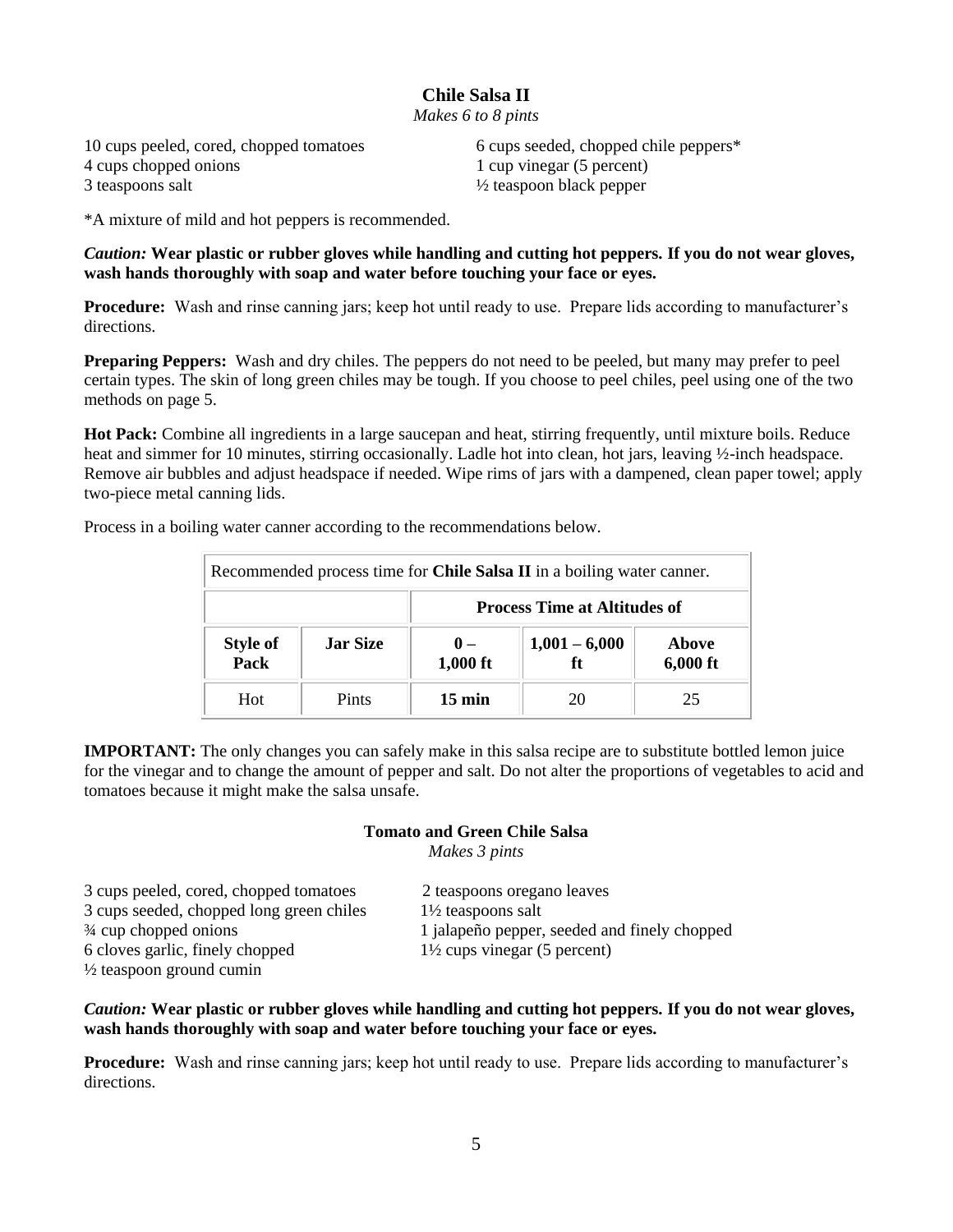## **Chile Salsa II**

*Makes 6 to 8 pints*

4 cups chopped onions 1 cup vinegar (5 percent) 3 teaspoons salt ½ teaspoon black pepper

10 cups peeled, cored, chopped tomatoes 6 cups seeded, chopped chile peppers\*

\*A mixture of mild and hot peppers is recommended.

*Caution:* **Wear plastic or rubber gloves while handling and cutting hot peppers. If you do not wear gloves, wash hands thoroughly with soap and water before touching your face or eyes.** 

**Procedure:** Wash and rinse canning jars; keep hot until ready to use. Prepare lids according to manufacturer's directions.

**Preparing Peppers:** Wash and dry chiles. The peppers do not need to be peeled, but many may prefer to peel certain types. The skin of long green chiles may be tough. If you choose to peel chiles, peel using one of the two methods on page 5.

**Hot Pack:** Combine all ingredients in a large saucepan and heat, stirring frequently, until mixture boils. Reduce heat and simmer for 10 minutes, stirring occasionally. Ladle hot into clean, hot jars, leaving ½-inch headspace. Remove air bubbles and adjust headspace if needed. Wipe rims of jars with a dampened, clean paper towel; apply two-piece metal canning lids.

| Recommended process time for Chile Salsa II in a boiling water canner. |                 |                            |                       |                     |
|------------------------------------------------------------------------|-----------------|----------------------------|-----------------------|---------------------|
| <b>Process Time at Altitudes of</b>                                    |                 |                            |                       |                     |
| <b>Style of<br/>Pack</b>                                               | <b>Jar Size</b> | $\mathbf{0}$ –<br>1,000 ft | $1,001 - 6,000$<br>ft | Above<br>$6,000$ ft |
| Hot                                                                    | Pints           | $15 \text{ min}$           | 20                    | 25                  |

Process in a boiling water canner according to the recommendations below.

**IMPORTANT:** The only changes you can safely make in this salsa recipe are to substitute bottled lemon juice for the vinegar and to change the amount of pepper and salt. Do not alter the proportions of vegetables to acid and tomatoes because it might make the salsa unsafe.

#### **Tomato and Green Chile Salsa**

*Makes 3 pints*

| 3 cups peeled, cored, chopped tomatoes   | 2 teaspoons oregano leaves                   |
|------------------------------------------|----------------------------------------------|
| 3 cups seeded, chopped long green chiles | $1\frac{1}{2}$ teaspoons salt                |
| $\frac{3}{4}$ cup chopped onions         | 1 jalapeño pepper, seeded and finely chopped |
| 6 cloves garlic, finely chopped          | $1\frac{1}{2}$ cups vinegar (5 percent)      |
| $\frac{1}{2}$ teaspoon ground cumin      |                                              |

### *Caution:* **Wear plastic or rubber gloves while handling and cutting hot peppers. If you do not wear gloves, wash hands thoroughly with soap and water before touching your face or eyes.**

**Procedure:** Wash and rinse canning jars; keep hot until ready to use. Prepare lids according to manufacturer's directions.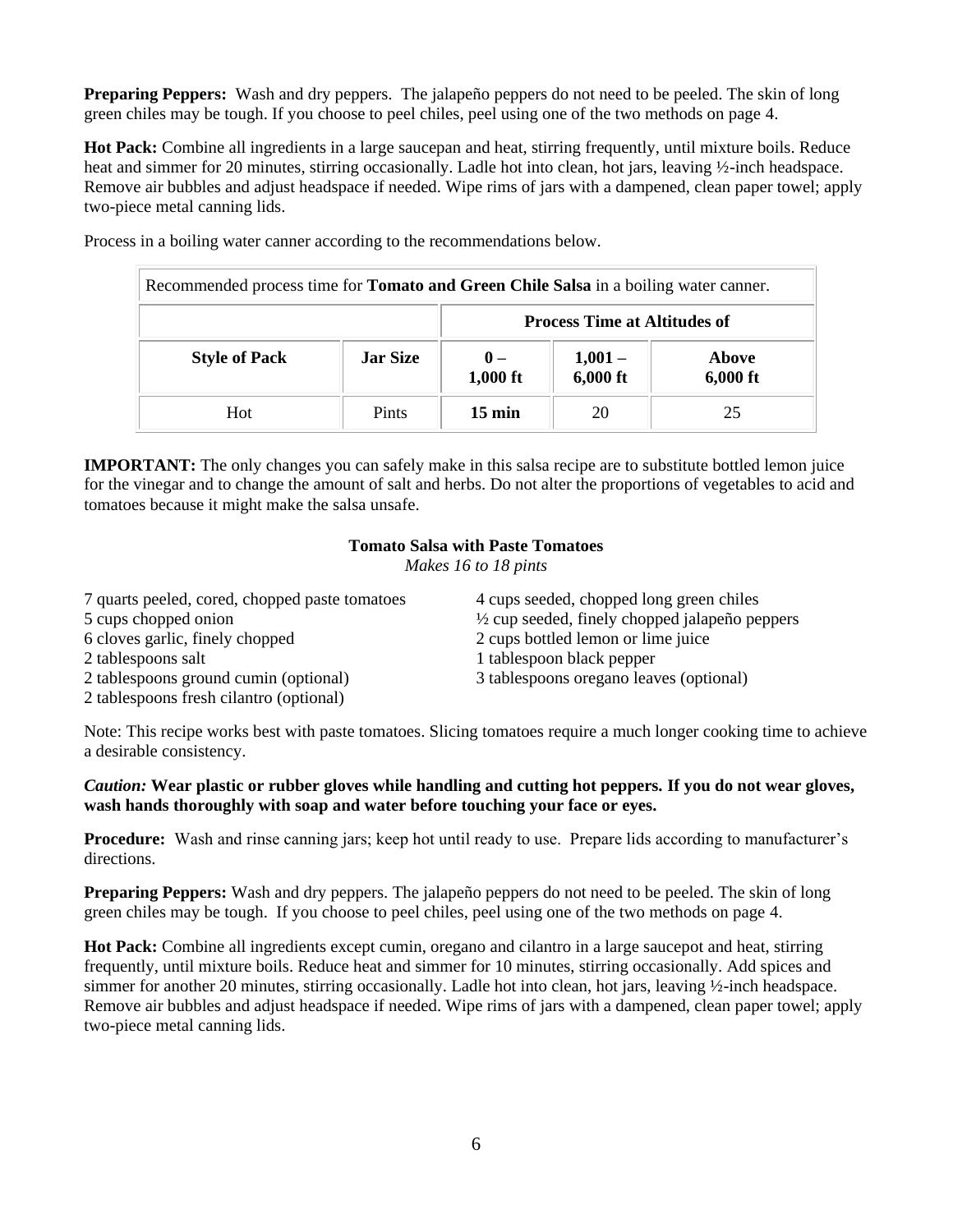**Preparing Peppers:** Wash and dry peppers. The jalapeño peppers do not need to be peeled. The skin of long green chiles may be tough. If you choose to peel chiles, peel using one of the two methods on page 4.

**Hot Pack:** Combine all ingredients in a large saucepan and heat, stirring frequently, until mixture boils. Reduce heat and simmer for 20 minutes, stirring occasionally. Ladle hot into clean, hot jars, leaving  $\frac{1}{2}$ -inch headspace. Remove air bubbles and adjust headspace if needed. Wipe rims of jars with a dampened, clean paper towel; apply two-piece metal canning lids.

| Recommended process time for <b>Tomato and Green Chile Salsa</b> in a boiling water canner. |                 |                            |                                     |                     |
|---------------------------------------------------------------------------------------------|-----------------|----------------------------|-------------------------------------|---------------------|
|                                                                                             |                 |                            | <b>Process Time at Altitudes of</b> |                     |
| <b>Style of Pack</b>                                                                        | <b>Jar Size</b> | $\mathbf{0}$ –<br>1,000 ft | $1,001 -$<br>6,000 ft               | Above<br>$6,000$ ft |
| Hot.                                                                                        | <b>Pints</b>    | $15 \text{ min}$           | 20                                  | 25                  |

Process in a boiling water canner according to the recommendations below.

**IMPORTANT:** The only changes you can safely make in this salsa recipe are to substitute bottled lemon juice for the vinegar and to change the amount of salt and herbs. Do not alter the proportions of vegetables to acid and tomatoes because it might make the salsa unsafe.

#### **Tomato Salsa with Paste Tomatoes**

*Makes 16 to 18 pints*

| 7 quarts peeled, cored, chopped paste tomatoes | 4 cups seeded, chopped long green chiles                  |
|------------------------------------------------|-----------------------------------------------------------|
| 5 cups chopped onion                           | $\frac{1}{2}$ cup seeded, finely chopped jalapeño peppers |
| 6 cloves garlic, finely chopped                | 2 cups bottled lemon or lime juice                        |
| 2 tablespoons salt                             | 1 tablespoon black pepper                                 |
| 2 tablespoons ground cumin (optional)          | 3 tablespoons oregano leaves (optional)                   |
| 2 tablespoons fresh cilantro (optional)        |                                                           |

Note: This recipe works best with paste tomatoes. Slicing tomatoes require a much longer cooking time to achieve a desirable consistency.

*Caution:* **Wear plastic or rubber gloves while handling and cutting hot peppers. If you do not wear gloves, wash hands thoroughly with soap and water before touching your face or eyes.** 

**Procedure:** Wash and rinse canning jars; keep hot until ready to use. Prepare lids according to manufacturer's directions.

**Preparing Peppers:** Wash and dry peppers. The jalapeño peppers do not need to be peeled. The skin of long green chiles may be tough. If you choose to peel chiles, peel using one of the two methods on page 4.

**Hot Pack:** Combine all ingredients except cumin, oregano and cilantro in a large saucepot and heat, stirring frequently, until mixture boils. Reduce heat and simmer for 10 minutes, stirring occasionally. Add spices and simmer for another 20 minutes, stirring occasionally. Ladle hot into clean, hot jars, leaving ½-inch headspace. Remove air bubbles and adjust headspace if needed. Wipe rims of jars with a dampened, clean paper towel; apply two-piece metal canning lids.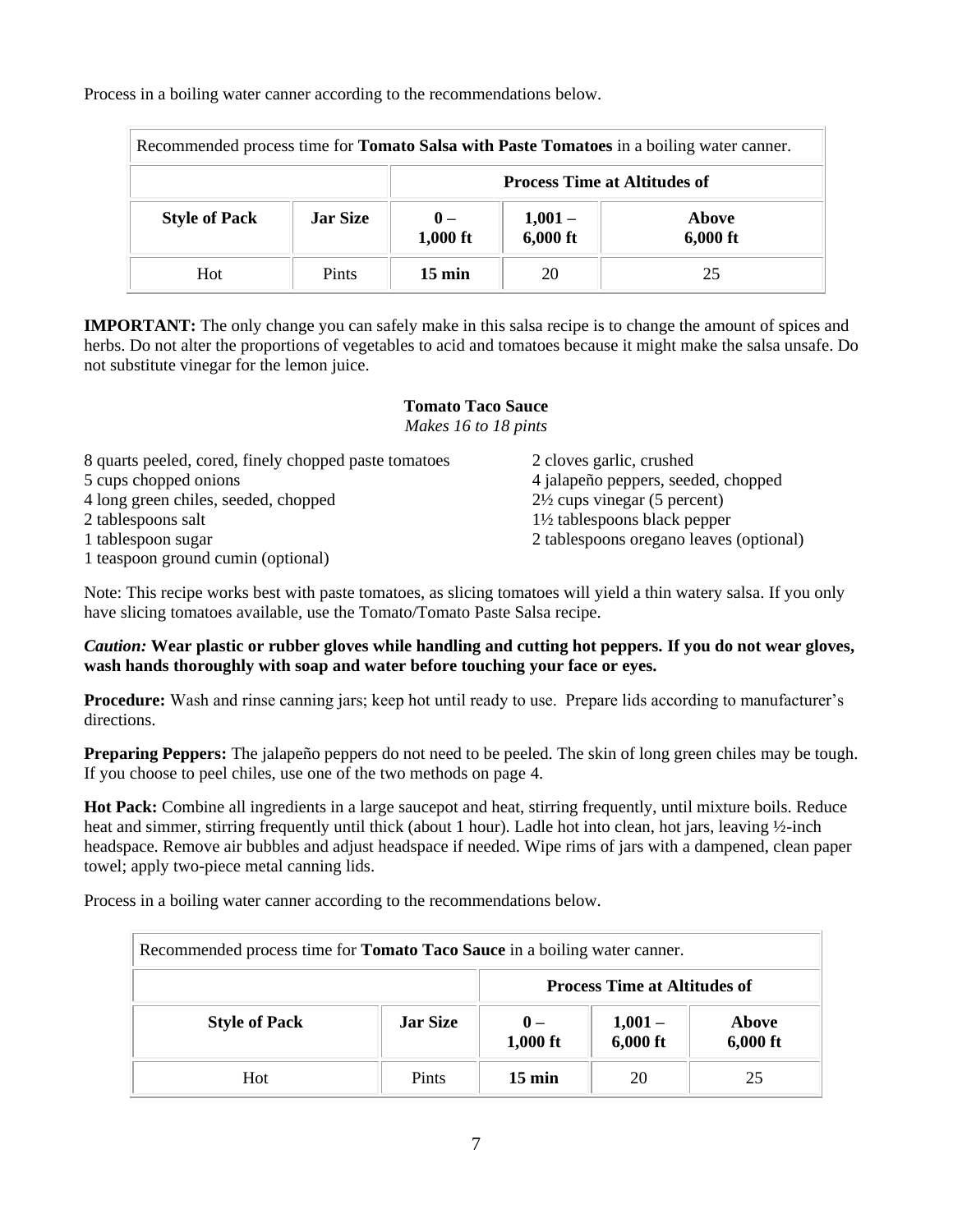Process in a boiling water canner according to the recommendations below.

| Recommended process time for <b>Tomato Salsa with Paste Tomatoes</b> in a boiling water canner. |                 |                                     |                      |                     |
|-------------------------------------------------------------------------------------------------|-----------------|-------------------------------------|----------------------|---------------------|
|                                                                                                 |                 | <b>Process Time at Altitudes of</b> |                      |                     |
| <b>Style of Pack</b>                                                                            | <b>Jar Size</b> | $0 -$<br>$1,000$ ft                 | $1,001-$<br>6,000 ft | Above<br>$6,000$ ft |
| Hot                                                                                             | Pints           | $15 \text{ min}$                    | 20                   | 25                  |

**IMPORTANT:** The only change you can safely make in this salsa recipe is to change the amount of spices and herbs. Do not alter the proportions of vegetables to acid and tomatoes because it might make the salsa unsafe. Do not substitute vinegar for the lemon juice.

#### **Tomato Taco Sauce** *Makes 16 to 18 pints*

| 8 quarts peeled, cored, finely chopped paste tomatoes | 2 cloves garlic, crushed                |
|-------------------------------------------------------|-----------------------------------------|
| 5 cups chopped onions                                 | 4 jalapeño peppers, seeded, chopped     |
| 4 long green chiles, seeded, chopped                  | $2\frac{1}{2}$ cups vinegar (5 percent) |
| 2 tablespoons salt                                    | $1\frac{1}{2}$ tablespoons black pepper |
| 1 tablespoon sugar                                    | 2 tablespoons oregano leaves (optional) |
| 1 teaspoon ground cumin (optional)                    |                                         |

Note: This recipe works best with paste tomatoes, as slicing tomatoes will yield a thin watery salsa. If you only have slicing tomatoes available, use the Tomato/Tomato Paste Salsa recipe.

## *Caution:* **Wear plastic or rubber gloves while handling and cutting hot peppers. If you do not wear gloves, wash hands thoroughly with soap and water before touching your face or eyes.**

**Procedure:** Wash and rinse canning jars; keep hot until ready to use. Prepare lids according to manufacturer's directions.

**Preparing Peppers:** The jalapeño peppers do not need to be peeled. The skin of long green chiles may be tough. If you choose to peel chiles, use one of the two methods on page 4.

**Hot Pack:** Combine all ingredients in a large saucepot and heat, stirring frequently, until mixture boils. Reduce heat and simmer, stirring frequently until thick (about 1 hour). Ladle hot into clean, hot jars, leaving ½-inch headspace. Remove air bubbles and adjust headspace if needed. Wipe rims of jars with a dampened, clean paper towel; apply two-piece metal canning lids.

Process in a boiling water canner according to the recommendations below.

| Recommended process time for <b>Tomato Taco Sauce</b> in a boiling water canner. |                 |                              |                                     |                     |
|----------------------------------------------------------------------------------|-----------------|------------------------------|-------------------------------------|---------------------|
|                                                                                  |                 |                              | <b>Process Time at Altitudes of</b> |                     |
| <b>Style of Pack</b>                                                             | <b>Jar Size</b> | $\mathbf{0}$ –<br>$1,000$ ft | $1,001-$<br>$6,000$ ft              | Above<br>$6,000$ ft |
| <b>Hot</b>                                                                       | Pints           | $15 \text{ min}$             | 20                                  | 25                  |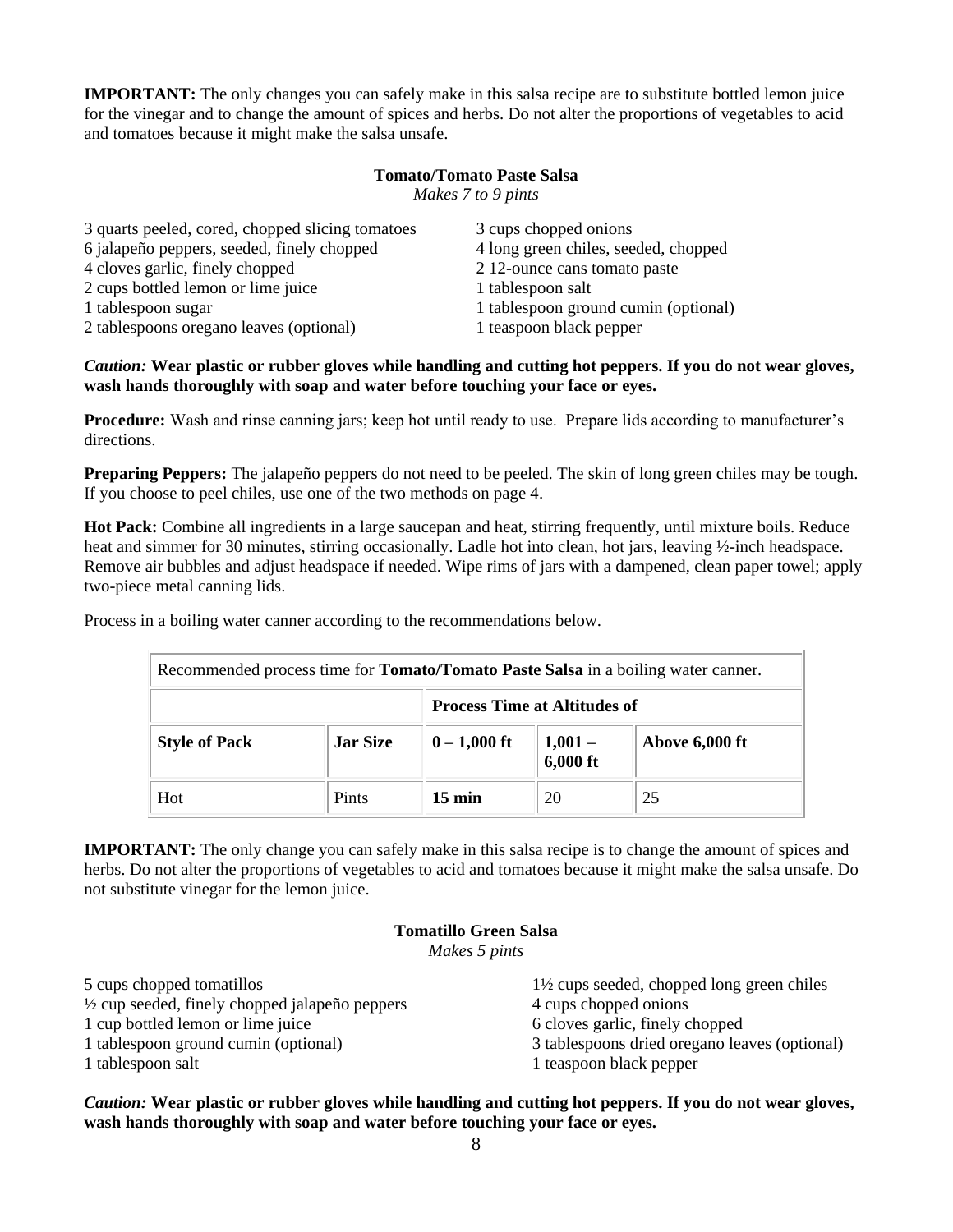**IMPORTANT:** The only changes you can safely make in this salsa recipe are to substitute bottled lemon juice for the vinegar and to change the amount of spices and herbs. Do not alter the proportions of vegetables to acid and tomatoes because it might make the salsa unsafe.

## **Tomato/Tomato Paste Salsa**

*Makes 7 to 9 pints*

| 3 quarts peeled, cored, chopped slicing tomatoes | 3 cups chopped onions                |
|--------------------------------------------------|--------------------------------------|
| 6 jalapeño peppers, seeded, finely chopped       | 4 long green chiles, seeded, chopped |
| 4 cloves garlic, finely chopped                  | 212-ounce cans tomato paste          |
| 2 cups bottled lemon or lime juice               | 1 tablespoon salt                    |
| 1 tablespoon sugar                               | 1 tablespoon ground cumin (optional) |
| 2 tablespoons oregano leaves (optional)          | 1 teaspoon black pepper              |

### *Caution:* **Wear plastic or rubber gloves while handling and cutting hot peppers. If you do not wear gloves, wash hands thoroughly with soap and water before touching your face or eyes.**

**Procedure:** Wash and rinse canning jars; keep hot until ready to use. Prepare lids according to manufacturer's directions.

**Preparing Peppers:** The jalapeño peppers do not need to be peeled. The skin of long green chiles may be tough. If you choose to peel chiles, use one of the two methods on page 4.

**Hot Pack:** Combine all ingredients in a large saucepan and heat, stirring frequently, until mixture boils. Reduce heat and simmer for 30 minutes, stirring occasionally. Ladle hot into clean, hot jars, leaving ½-inch headspace. Remove air bubbles and adjust headspace if needed. Wipe rims of jars with a dampened, clean paper towel; apply two-piece metal canning lids.

Process in a boiling water canner according to the recommendations below.

| Recommended process time for <b>Tomato/Tomato Paste Salsa</b> in a boiling water canner. |                 |                                     |                       |                |
|------------------------------------------------------------------------------------------|-----------------|-------------------------------------|-----------------------|----------------|
|                                                                                          |                 | <b>Process Time at Altitudes of</b> |                       |                |
| <b>Style of Pack</b>                                                                     | <b>Jar Size</b> | $0 - 1,000$ ft                      | $1,001 -$<br>6,000 ft | Above 6,000 ft |
| Hot                                                                                      | <b>Pints</b>    | $15 \text{ min}$                    | 20                    | 25             |

**IMPORTANT:** The only change you can safely make in this salsa recipe is to change the amount of spices and herbs. Do not alter the proportions of vegetables to acid and tomatoes because it might make the salsa unsafe. Do not substitute vinegar for the lemon juice.

## **Tomatillo Green Salsa** *Makes 5 pints*

| 5 cups chopped tomatillos                       | $1\frac{1}{2}$ cups seeded, chopped long green chiles |
|-------------------------------------------------|-------------------------------------------------------|
| 1/2 cup seeded, finely chopped jalapeño peppers | 4 cups chopped onions                                 |
| 1 cup bottled lemon or lime juice               | 6 cloves garlic, finely chopped                       |
| 1 tablespoon ground cumin (optional)            | 3 tablespoons dried origano leaves (optional)         |
| 1 tablespoon salt                               | 1 teaspoon black pepper                               |
|                                                 |                                                       |

*Caution:* **Wear plastic or rubber gloves while handling and cutting hot peppers. If you do not wear gloves, wash hands thoroughly with soap and water before touching your face or eyes.**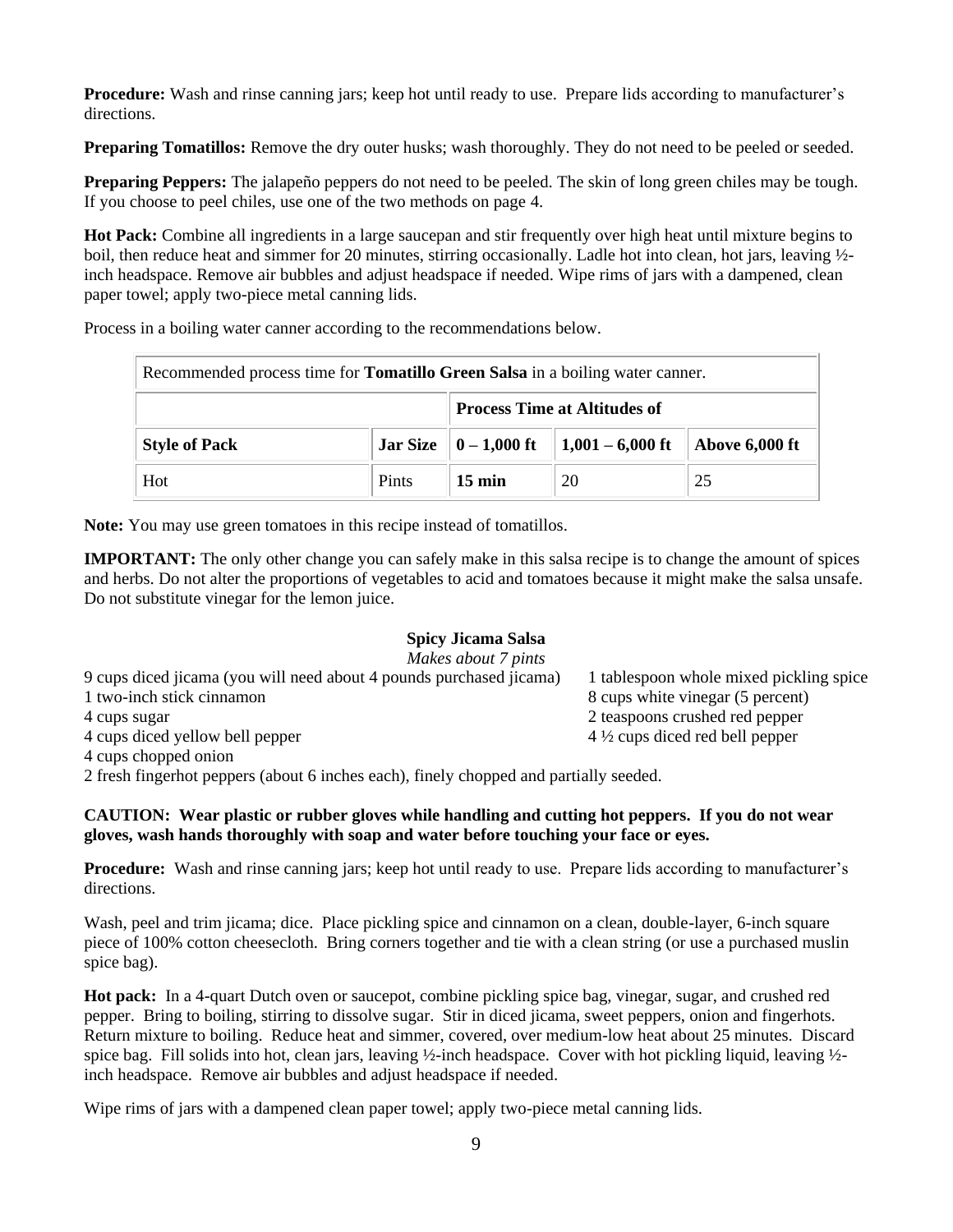**Procedure:** Wash and rinse canning jars; keep hot until ready to use. Prepare lids according to manufacturer's directions.

**Preparing Tomatillos:** Remove the dry outer husks; wash thoroughly. They do not need to be peeled or seeded.

**Preparing Peppers:** The jalapeño peppers do not need to be peeled. The skin of long green chiles may be tough. If you choose to peel chiles, use one of the two methods on page 4.

**Hot Pack:** Combine all ingredients in a large saucepan and stir frequently over high heat until mixture begins to boil, then reduce heat and simmer for 20 minutes, stirring occasionally. Ladle hot into clean, hot jars, leaving ½ inch headspace. Remove air bubbles and adjust headspace if needed. Wipe rims of jars with a dampened, clean paper towel; apply two-piece metal canning lids.

Process in a boiling water canner according to the recommendations below.

| Recommended process time for <b>Tomatillo Green Salsa</b> in a boiling water canner. |              |                                     |                                                                   |                            |
|--------------------------------------------------------------------------------------|--------------|-------------------------------------|-------------------------------------------------------------------|----------------------------|
|                                                                                      |              | <b>Process Time at Altitudes of</b> |                                                                   |                            |
| <b>Style of Pack</b>                                                                 |              |                                     | Jar Size $\  0 - 1,000 \text{ ft} \  1,001 - 6,000 \text{ ft} \ $ | $\parallel$ Above 6,000 ft |
| Hot                                                                                  | <b>Pints</b> | $15 \text{ min}$                    | 20                                                                | 25                         |

**Note:** You may use green tomatoes in this recipe instead of tomatillos.

**IMPORTANT:** The only other change you can safely make in this salsa recipe is to change the amount of spices and herbs. Do not alter the proportions of vegetables to acid and tomatoes because it might make the salsa unsafe. Do not substitute vinegar for the lemon juice.

## **Spicy Jicama Salsa**

| Makes about 7 pints                                                 |                                           |
|---------------------------------------------------------------------|-------------------------------------------|
| 9 cups diced jicama (you will need about 4 pounds purchased jicama) | 1 tablespoon whole mixed pickling spice   |
| 1 two-inch stick cinnamon                                           | 8 cups white vinegar (5 percent)          |
| 4 cups sugar                                                        | 2 teaspoons crushed red pepper            |
| 4 cups diced yellow bell pepper                                     | $4\frac{1}{2}$ cups diced red bell pepper |
| 4 cups chopped onion                                                |                                           |

2 fresh fingerhot peppers (about 6 inches each), finely chopped and partially seeded.

## **CAUTION: Wear plastic or rubber gloves while handling and cutting hot peppers. If you do not wear gloves, wash hands thoroughly with soap and water before touching your face or eyes.**

**Procedure:** Wash and rinse canning jars; keep hot until ready to use. Prepare lids according to manufacturer's directions.

Wash, peel and trim jicama; dice. Place pickling spice and cinnamon on a clean, double-layer, 6-inch square piece of 100% cotton cheesecloth. Bring corners together and tie with a clean string (or use a purchased muslin spice bag).

**Hot pack:** In a 4-quart Dutch oven or saucepot, combine pickling spice bag, vinegar, sugar, and crushed red pepper. Bring to boiling, stirring to dissolve sugar. Stir in diced jicama, sweet peppers, onion and fingerhots. Return mixture to boiling. Reduce heat and simmer, covered, over medium-low heat about 25 minutes. Discard spice bag. Fill solids into hot, clean jars, leaving  $\frac{1}{2}$ -inch headspace. Cover with hot pickling liquid, leaving  $\frac{1}{2}$ inch headspace. Remove air bubbles and adjust headspace if needed.

Wipe rims of jars with a dampened clean paper towel; apply two-piece metal canning lids.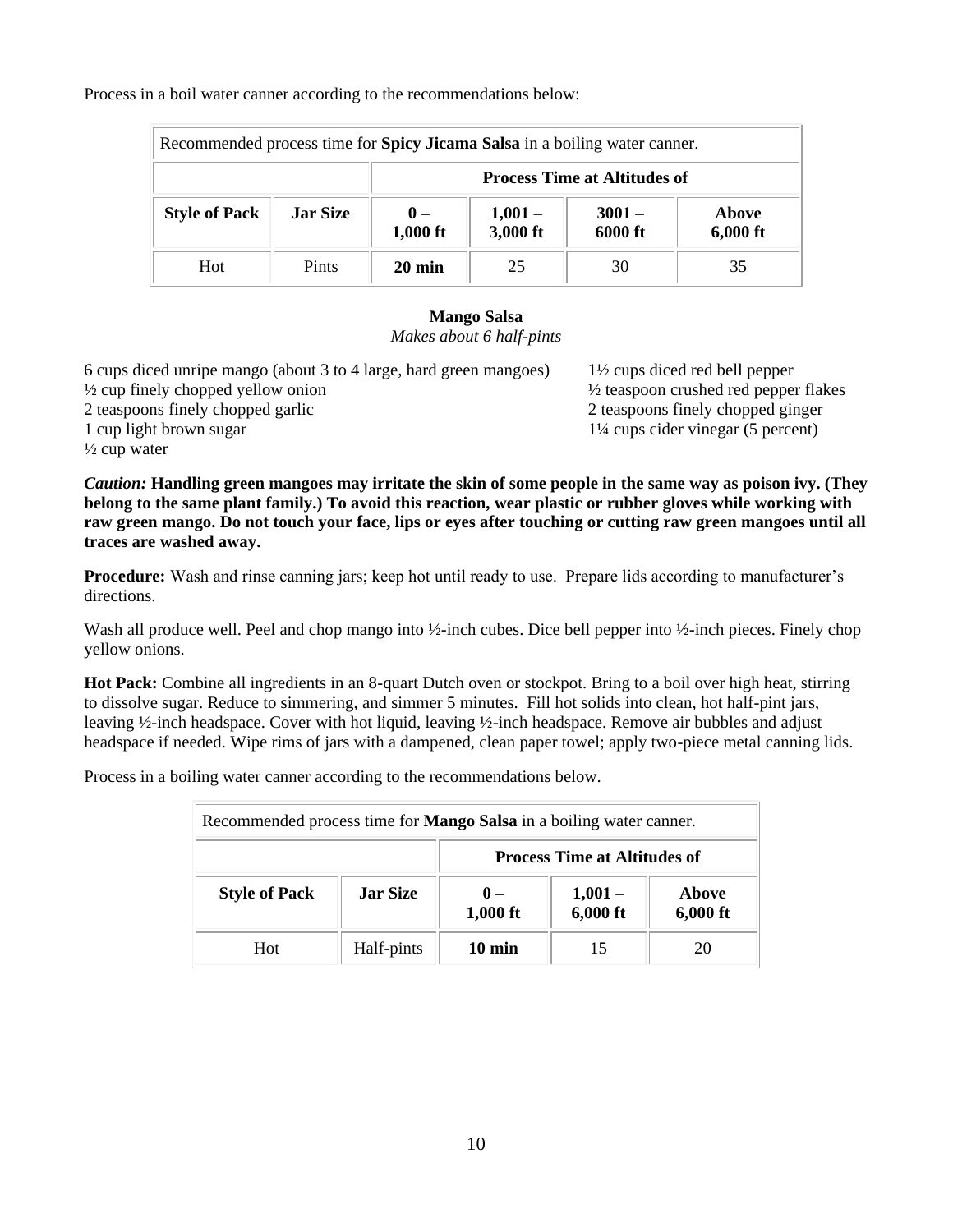Process in a boil water canner according to the recommendations below:

| Recommended process time for Spicy Jicama Salsa in a boiling water canner. |                 |                                     |                       |                     |                   |
|----------------------------------------------------------------------------|-----------------|-------------------------------------|-----------------------|---------------------|-------------------|
|                                                                            |                 | <b>Process Time at Altitudes of</b> |                       |                     |                   |
| <b>Style of Pack</b>                                                       | <b>Jar Size</b> | $0 -$<br>1,000 ft                   | $1,001 -$<br>3,000 ft | $3001 -$<br>6000 ft | Above<br>6,000 ft |
| <b>Hot</b>                                                                 | Pints           | $20 \text{ min}$                    | 25                    | 30                  | 35                |

## **Mango Salsa**

*Makes about 6 half-pints*

6 cups diced unripe mango (about 3 to 4 large, hard green mangoes) 1½ cups diced red bell pepper  $\frac{1}{2}$  cup finely chopped yellow onion  $\frac{1}{2}$  teaspoon crushed red pepper flakes 2 teaspoons finely chopped garlic 2 teaspoons finely chopped ginger 1 cup light brown sugar 1¼ cups cider vinegar (5 percent)  $\frac{1}{2}$  cup water

*Caution:* **Handling green mangoes may irritate the skin of some people in the same way as poison ivy. (They belong to the same plant family.) To avoid this reaction, wear plastic or rubber gloves while working with raw green mango. Do not touch your face, lips or eyes after touching or cutting raw green mangoes until all traces are washed away.**

**Procedure:** Wash and rinse canning jars; keep hot until ready to use. Prepare lids according to manufacturer's directions.

Wash all produce well. Peel and chop mango into ½-inch cubes. Dice bell pepper into ½-inch pieces. Finely chop yellow onions.

**Hot Pack:** Combine all ingredients in an 8-quart Dutch oven or stockpot. Bring to a boil over high heat, stirring to dissolve sugar. Reduce to simmering, and simmer 5 minutes. Fill hot solids into clean, hot half-pint jars, leaving ½-inch headspace. Cover with hot liquid, leaving ½-inch headspace. Remove air bubbles and adjust headspace if needed. Wipe rims of jars with a dampened, clean paper towel; apply two-piece metal canning lids.

Process in a boiling water canner according to the recommendations below.

| Recommended process time for <b>Mango Salsa</b> in a boiling water canner. |                 |                                     |                         |                     |
|----------------------------------------------------------------------------|-----------------|-------------------------------------|-------------------------|---------------------|
|                                                                            |                 | <b>Process Time at Altitudes of</b> |                         |                     |
| <b>Style of Pack</b>                                                       | <b>Jar Size</b> | $\mathbf{0}$ –<br>$1,000$ ft        | $1,001 -$<br>$6,000$ ft | Above<br>$6,000$ ft |
| Hot                                                                        | Half-pints      | $10 \text{ min}$                    | 15                      | 20                  |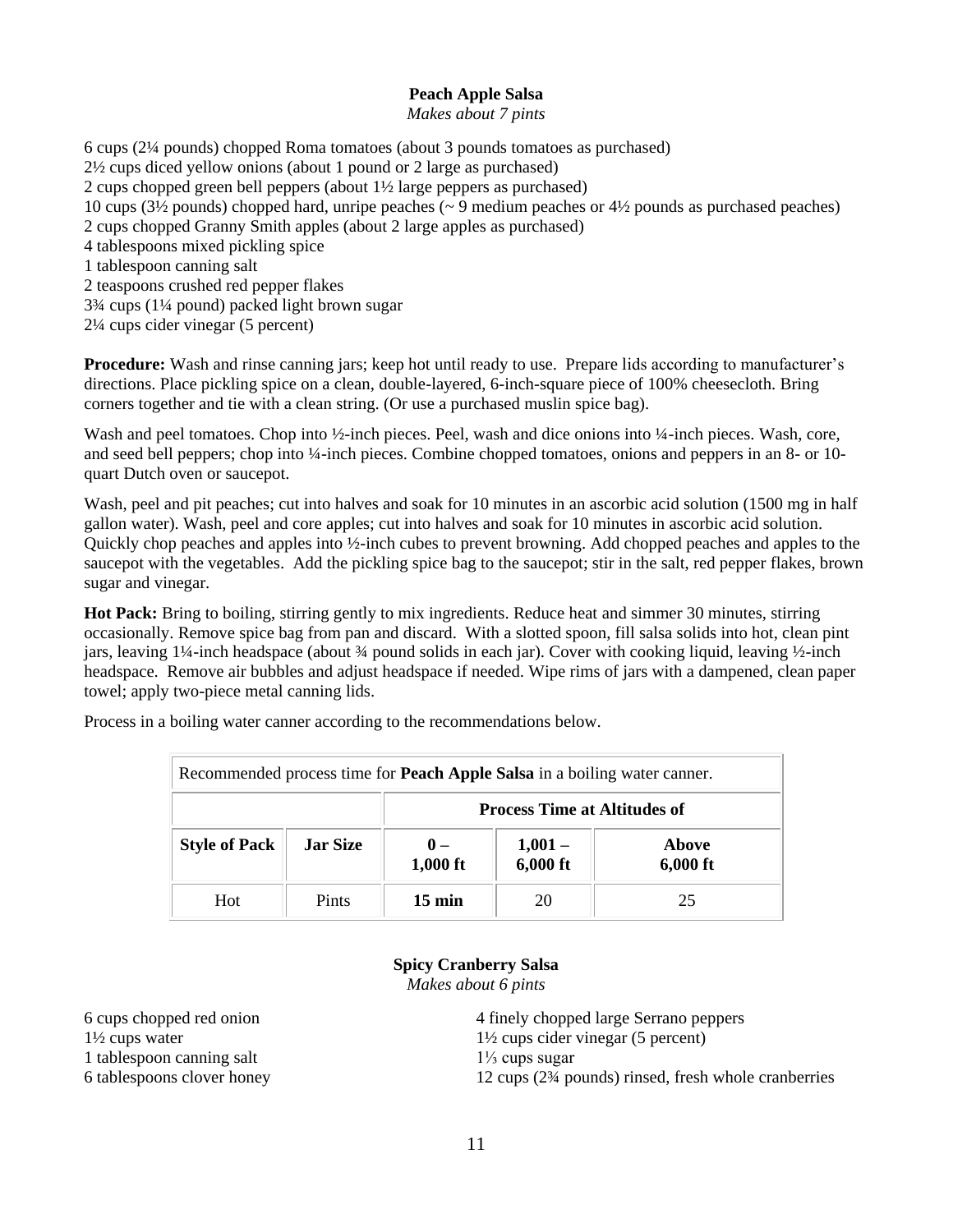## **Peach Apple Salsa**

### *Makes about 7 pints*

6 cups (2¼ pounds) chopped Roma tomatoes (about 3 pounds tomatoes as purchased) 2½ cups diced yellow onions (about 1 pound or 2 large as purchased) 2 cups chopped green bell peppers (about 1½ large peppers as purchased) 10 cups (3½ pounds) chopped hard, unripe peaches (~ 9 medium peaches or 4½ pounds as purchased peaches) 2 cups chopped Granny Smith apples (about 2 large apples as purchased) 4 tablespoons mixed pickling spice 1 tablespoon canning salt 2 teaspoons crushed red pepper flakes 3¾ cups (1¼ pound) packed light brown sugar 2¼ cups cider vinegar (5 percent)

**Procedure:** Wash and rinse canning jars; keep hot until ready to use. Prepare lids according to manufacturer's directions. Place pickling spice on a clean, double-layered, 6-inch-square piece of 100% cheesecloth. Bring corners together and tie with a clean string. (Or use a purchased muslin spice bag).

Wash and peel tomatoes. Chop into ½-inch pieces. Peel, wash and dice onions into ¼-inch pieces. Wash, core, and seed bell peppers; chop into ¼-inch pieces. Combine chopped tomatoes, onions and peppers in an 8- or 10quart Dutch oven or saucepot.

Wash, peel and pit peaches; cut into halves and soak for 10 minutes in an ascorbic acid solution (1500 mg in half gallon water). Wash, peel and core apples; cut into halves and soak for 10 minutes in ascorbic acid solution. Quickly chop peaches and apples into ½-inch cubes to prevent browning. Add chopped peaches and apples to the saucepot with the vegetables. Add the pickling spice bag to the saucepot; stir in the salt, red pepper flakes, brown sugar and vinegar.

**Hot Pack:** Bring to boiling, stirring gently to mix ingredients. Reduce heat and simmer 30 minutes, stirring occasionally. Remove spice bag from pan and discard. With a slotted spoon, fill salsa solids into hot, clean pint jars, leaving 1¼-inch headspace (about ¾ pound solids in each jar). Cover with cooking liquid, leaving ½-inch headspace. Remove air bubbles and adjust headspace if needed. Wipe rims of jars with a dampened, clean paper towel; apply two-piece metal canning lids.

| Recommended process time for <b>Peach Apple Salsa</b> in a boiling water canner. |                 |                                     |                       |                     |  |
|----------------------------------------------------------------------------------|-----------------|-------------------------------------|-----------------------|---------------------|--|
|                                                                                  |                 | <b>Process Time at Altitudes of</b> |                       |                     |  |
| <b>Style of Pack</b>                                                             | <b>Jar Size</b> | $\mathbf{0}$ –<br>$1,000$ ft        | $1,001 -$<br>6,000 ft | Above<br>$6,000$ ft |  |
| Hot                                                                              | Pints           | $15 \text{ min}$                    | 20                    | 25                  |  |

Process in a boiling water canner according to the recommendations below.

### **Spicy Cranberry Salsa**

*Makes about 6 pints*

1 tablespoon canning salt 1⅓ cups sugar

6 cups chopped red onion 4 finely chopped large Serrano peppers 1½ cups water 1½ cups cider vinegar (5 percent) 6 tablespoons clover honey 12 cups (2¾ pounds) rinsed, fresh whole cranberries